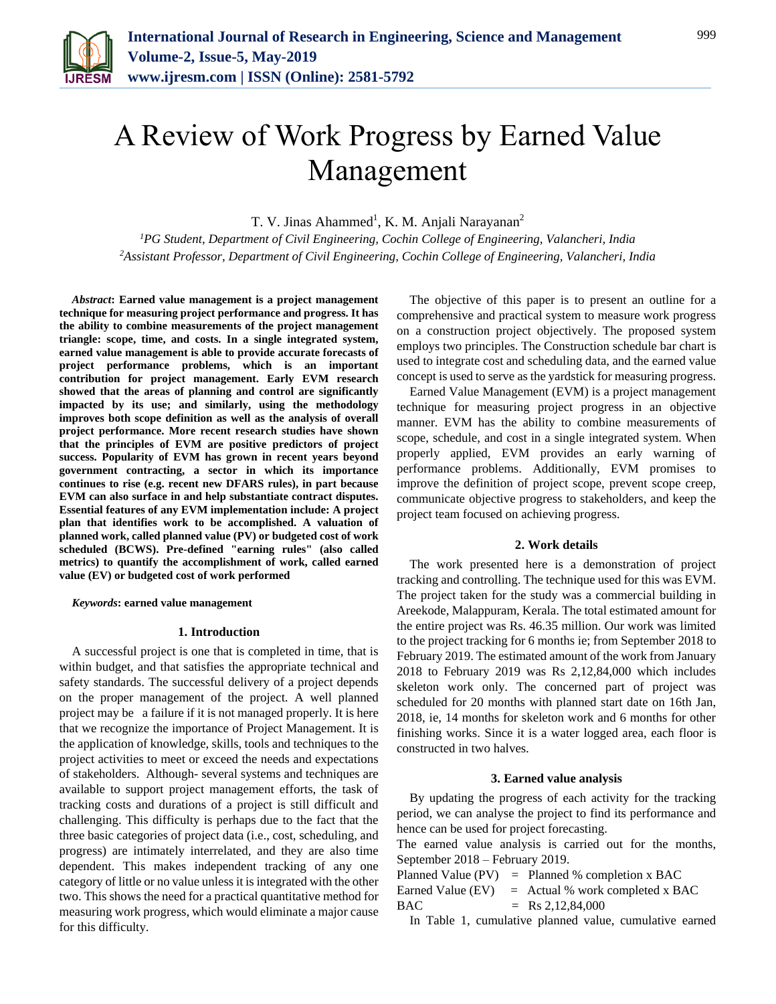

# A Review of Work Progress by Earned Value Management

T. V. Jinas Ahammed<sup>1</sup>, K. M. Anjali Narayanan<sup>2</sup>

*<sup>1</sup>PG Student, Department of Civil Engineering, Cochin College of Engineering, Valancheri, India 2Assistant Professor, Department of Civil Engineering, Cochin College of Engineering, Valancheri, India*

*Abstract***: Earned value management is a project management technique for measuring project performance and progress. It has the ability to combine measurements of the project management triangle: scope, time, and costs. In a single integrated system, earned value management is able to provide accurate forecasts of project performance problems, which is an important contribution for project management. Early EVM research showed that the areas of planning and control are significantly impacted by its use; and similarly, using the methodology improves both scope definition as well as the analysis of overall project performance. More recent research studies have shown that the principles of EVM are positive predictors of project success. Popularity of EVM has grown in recent years beyond government contracting, a sector in which its importance continues to rise (e.g. recent new DFARS rules), in part because EVM can also surface in and help substantiate contract disputes. Essential features of any EVM implementation include: A project plan that identifies work to be accomplished. A valuation of planned work, called planned value (PV) or budgeted cost of work scheduled (BCWS). Pre-defined "earning rules" (also called metrics) to quantify the accomplishment of work, called earned value (EV) or budgeted cost of work performed**

### *Keywords***: earned value management**

### **1. Introduction**

A successful project is one that is completed in time, that is within budget, and that satisfies the appropriate technical and safety standards. The successful delivery of a project depends on the proper management of the project. A well planned project may be a failure if it is not managed properly. It is here that we recognize the importance of Project Management. It is the application of knowledge, skills, tools and techniques to the project activities to meet or exceed the needs and expectations of stakeholders. Although- several systems and techniques are available to support project management efforts, the task of tracking costs and durations of a project is still difficult and challenging. This difficulty is perhaps due to the fact that the three basic categories of project data (i.e., cost, scheduling, and progress) are intimately interrelated, and they are also time dependent. This makes independent tracking of any one category of little or no value unless it is integrated with the other two. This shows the need for a practical quantitative method for measuring work progress, which would eliminate a major cause for this difficulty.

The objective of this paper is to present an outline for a comprehensive and practical system to measure work progress on a construction project objectively. The proposed system employs two principles. The Construction schedule bar chart is used to integrate cost and scheduling data, and the earned value concept is used to serve as the yardstick for measuring progress.

Earned Value Management (EVM) is a project management technique for measuring project progress in an objective manner. EVM has the ability to combine measurements of scope, schedule, and cost in a single integrated system. When properly applied, EVM provides an early warning of performance problems. Additionally, EVM promises to improve the definition of project scope, prevent scope creep, communicate objective progress to stakeholders, and keep the project team focused on achieving progress.

## **2. Work details**

The work presented here is a demonstration of project tracking and controlling. The technique used for this was EVM. The project taken for the study was a commercial building in Areekode, Malappuram, Kerala. The total estimated amount for the entire project was Rs. 46.35 million. Our work was limited to the project tracking for 6 months ie; from September 2018 to February 2019. The estimated amount of the work from January 2018 to February 2019 was Rs 2,12,84,000 which includes skeleton work only. The concerned part of project was scheduled for 20 months with planned start date on 16th Jan, 2018, ie, 14 months for skeleton work and 6 months for other finishing works. Since it is a water logged area, each floor is constructed in two halves.

## **3. Earned value analysis**

By updating the progress of each activity for the tracking period, we can analyse the project to find its performance and hence can be used for project forecasting.

The earned value analysis is carried out for the months, September 2018 – February 2019.

|     | Planned Value (PV) $=$ Planned % completion x BAC   |
|-----|-----------------------------------------------------|
|     | Earned Value $(EV)$ = Actual % work completed x BAC |
| BAC | $=$ Rs 2,12,84,000                                  |

In Table 1, cumulative planned value, cumulative earned